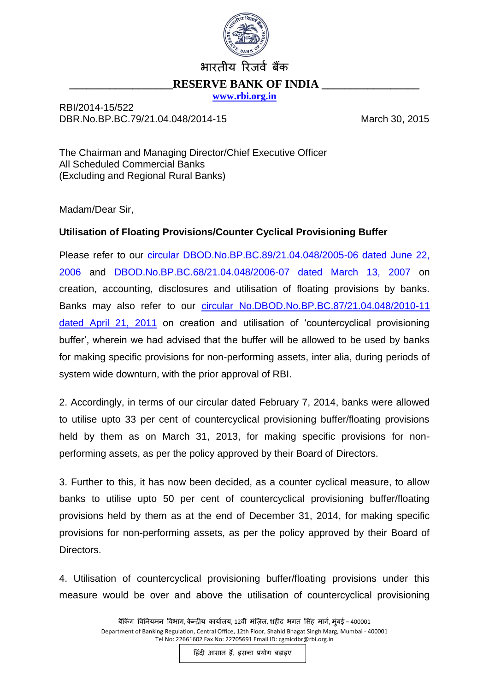

## भारतीय रिजर्व बैंक **RESERVE BANK OF INDIA [www.rbi.org.in](http://www.rbi.org.in/)**

RBI/2014-15/522 DBR.No.BP.BC.79/21.04.048/2014-15 March 30, 2015

The Chairman and Managing Director/Chief Executive Officer All Scheduled Commercial Banks (Excluding and Regional Rural Banks)

Madam/Dear Sir,

## **Utilisation of Floating Provisions/Counter Cyclical Provisioning Buffer**

Please refer to our [circular DBOD.No.BP.BC.89/21.04.048/2005-06 dated June 22,](http://www.rbi.org.in/scripts/NotificationUser.aspx?Id=2918&Mode=0)  [2006](http://www.rbi.org.in/scripts/NotificationUser.aspx?Id=2918&Mode=0) and [DBOD.No.BP.BC.68/21.04.048/2006-07 dated March 13, 2007](http://www.rbi.org.in/scripts/NotificationUser.aspx?Id=3334&Mode=0) on creation, accounting, disclosures and utilisation of floating provisions by banks. Banks may also refer to our [circular No.DBOD.No.BP.BC.87/21.04.048/2010-11](http://www.rbi.org.in/scripts/NotificationUser.aspx?Id=6357&Mode=0)  [dated April 21, 2011](http://www.rbi.org.in/scripts/NotificationUser.aspx?Id=6357&Mode=0) on creation and utilisation of 'countercyclical provisioning buffer', wherein we had advised that the buffer will be allowed to be used by banks for making specific provisions for non-performing assets, inter alia, during periods of system wide downturn, with the prior approval of RBI.

2. Accordingly, in terms of our circular dated February 7, 2014, banks were allowed to utilise upto 33 per cent of countercyclical provisioning buffer/floating provisions held by them as on March 31, 2013, for making specific provisions for nonperforming assets, as per the policy approved by their Board of Directors.

3. Further to this, it has now been decided, as a counter cyclical measure, to allow banks to utilise upto 50 per cent of countercyclical provisioning buffer/floating provisions held by them as at the end of December 31, 2014, for making specific provisions for non-performing assets, as per the policy approved by their Board of Directors.

4. Utilisation of countercyclical provisioning buffer/floating provisions under this measure would be over and above the utilisation of countercyclical provisioning